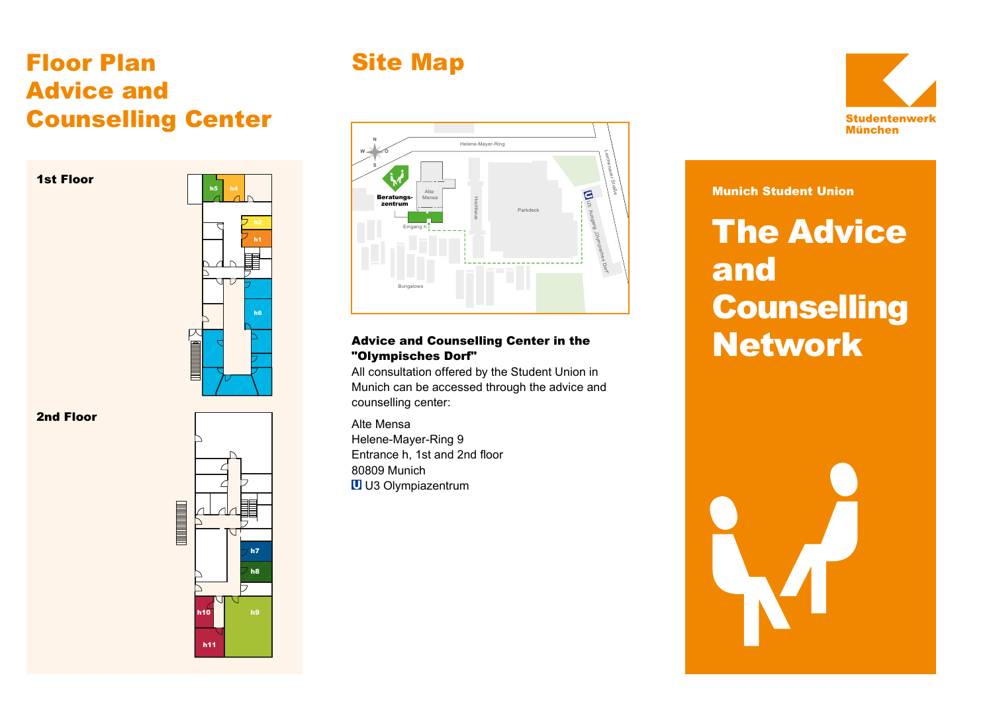## Floor Plan Advice and Counselling Center





#### 2nd Floor



## Site Map



#### Advice and Counselling Center in the "Olympisches Dorf"

All consultation offered by the Student Union in Munich can be accessed through the advice and counselling center:

Alte Mensa Helene-Mayer-Ring 9 Entrance h, 1st and 2nd floor 80809 Munich U U3 Olympiazentrum

#### Munich Student Union

# **The Advice** and **Counselling Network**